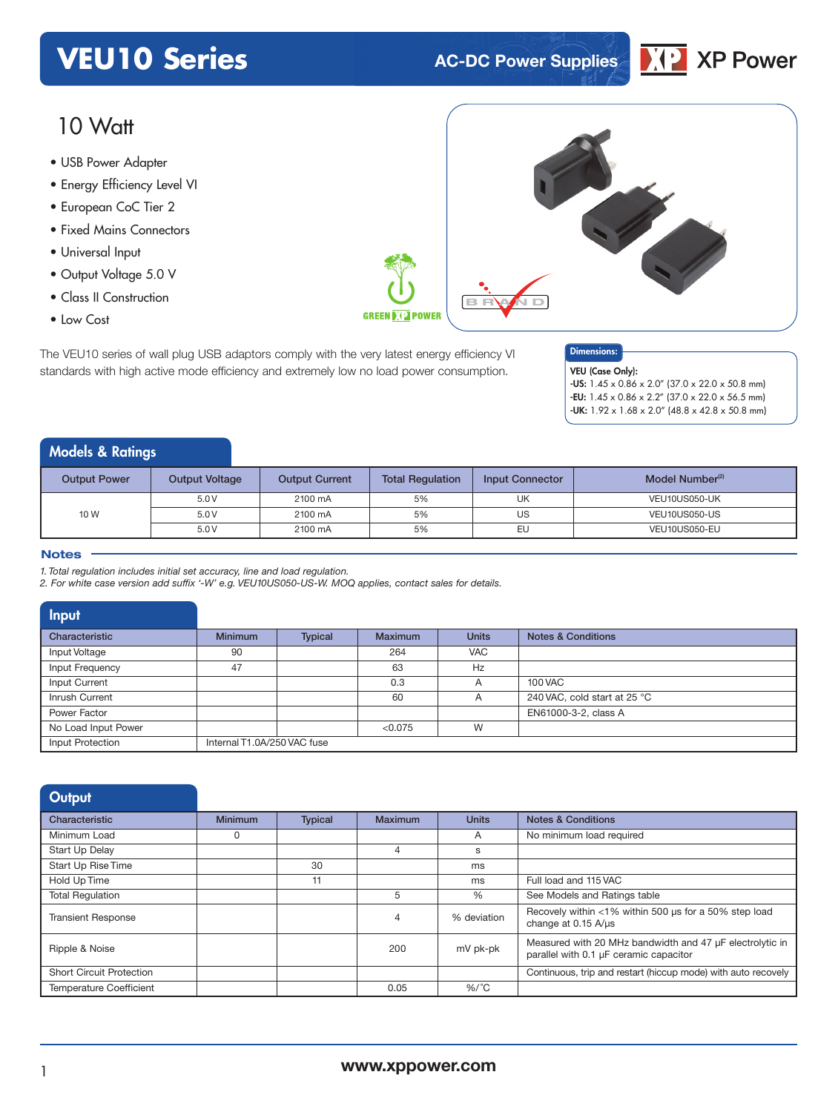## **VEU10 Series AC-DC** Power Supplies



### 10 Watt

- USB Power Adapter<br>————————————————————
- Energy Efficiency Level VI
- European CoC Tier 2
- Fixed Mains Connectors
- Universal Input
- Output Voltage 5.0 V
- Class II Construction
- Low Cost

The VEU10 series of wall plug USB adaptors comply with the very latest energy efficiency VI standards with high active mode efficiency and extremely low no load power consumption.



#### Dimensions:

VEU (Case Only): -US: 1.45 x 0.86 x 2.0" (37.0 x 22.0 x 50.8 mm) -EU:  $1.45 \times 0.86 \times 2.2$ " (37.0  $\times$  22.0  $\times$  56.5 mm)  $-$ UK:  $1.92 \times 1.68 \times 2.0$ " (48.8 x 42.8 x 50.8 mm)

#### Models & Ratings

| <b>Output Power</b> | <b>Output Voltage</b> | <b>Output Current</b> | <b>Total Regulation</b> | <b>Input Connector</b> | Model Number <sup>(2)</sup> |
|---------------------|-----------------------|-----------------------|-------------------------|------------------------|-----------------------------|
|                     | 5.0V                  | 2100 mA               | 5%                      | UK                     | VEU10US050-UK               |
| 10 W                | 5.0V                  | 2100 mA               | 5%                      | US                     | VEU10US050-US               |
|                     | 5.0V                  | 2100 mA               | 5%                      | EU                     | VEU10US050-EU               |

#### **Notes**

*1. Total regulation includes initial set accuracy, line and load regulation.*

*2. For white case version add suffix '-W' e.g. VEU10US050-US-W. MOQ applies, contact sales for details.*

| Input               |                             |         |                |              |                               |
|---------------------|-----------------------------|---------|----------------|--------------|-------------------------------|
| Characteristic      | <b>Minimum</b>              | Typical | <b>Maximum</b> | <b>Units</b> | <b>Notes &amp; Conditions</b> |
| Input Voltage       | 90                          |         | 264            | <b>VAC</b>   |                               |
| Input Frequency     | 47                          |         | 63             | Hz           |                               |
| Input Current       |                             |         | 0.3            | A            | <b>100 VAC</b>                |
| Inrush Current      |                             |         | 60             | A            | 240 VAC, cold start at 25 °C  |
| Power Factor        |                             |         |                |              | EN61000-3-2, class A          |
| No Load Input Power |                             |         | < 0.075        | W            |                               |
| Input Protection    | Internal T1.0A/250 VAC fuse |         |                |              |                               |

| Output                          |                |                |                |              |                                                                                                    |
|---------------------------------|----------------|----------------|----------------|--------------|----------------------------------------------------------------------------------------------------|
| Characteristic                  | <b>Minimum</b> | <b>Typical</b> | <b>Maximum</b> | <b>Units</b> | <b>Notes &amp; Conditions</b>                                                                      |
| Minimum Load                    | 0              |                |                | A            | No minimum load required                                                                           |
| Start Up Delay                  |                |                | 4              | s            |                                                                                                    |
| Start Up Rise Time              |                | 30             |                | ms           |                                                                                                    |
| Hold Up Time                    |                | 11             |                | ms           | Full load and 115 VAC                                                                              |
| <b>Total Requlation</b>         |                |                | 5              | %            | See Models and Ratings table                                                                       |
| <b>Transient Response</b>       |                |                | $\overline{4}$ | % deviation  | Recovely within <1% within 500 us for a 50% step load<br>change at 0.15 A/µs                       |
| Ripple & Noise                  |                |                | 200            | mV pk-pk     | Measured with 20 MHz bandwidth and 47 µF electrolytic in<br>parallel with 0.1 µF ceramic capacitor |
| <b>Short Circuit Protection</b> |                |                |                |              | Continuous, trip and restart (hiccup mode) with auto recovely                                      |
| <b>Temperature Coefficient</b>  |                |                | 0.05           | $%$ /°C      |                                                                                                    |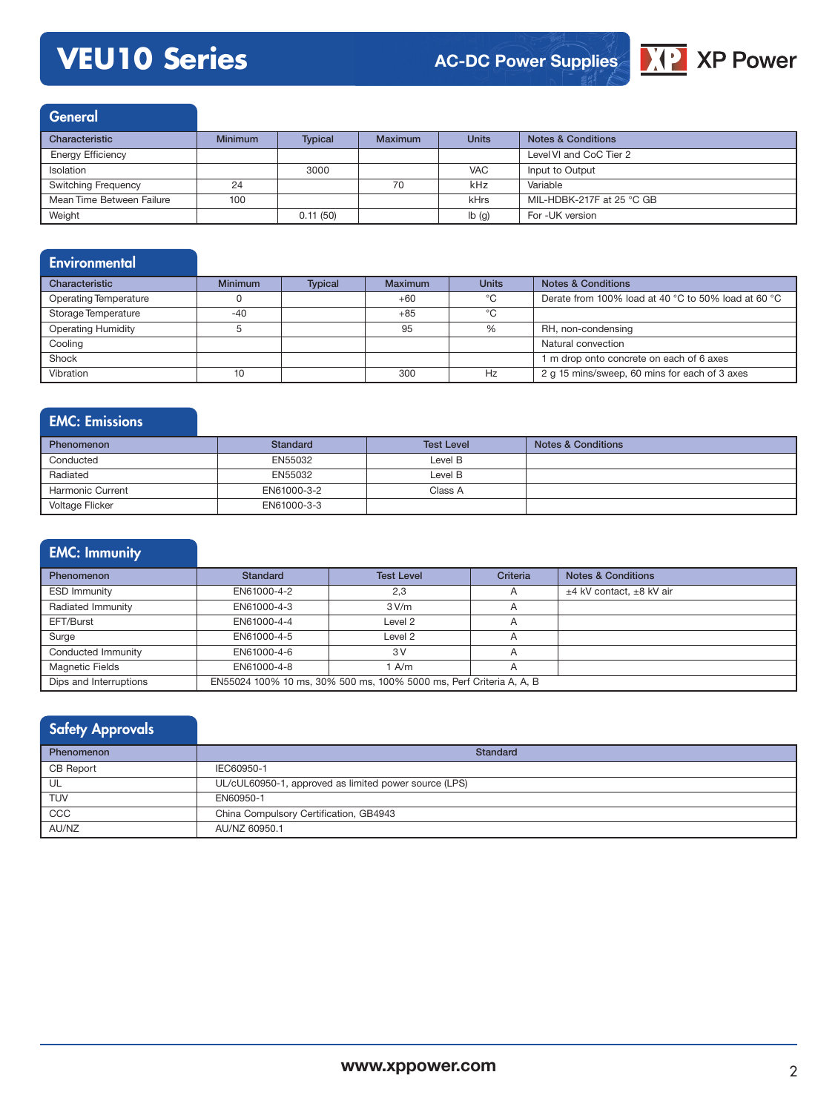# **VEU10 Series**



General

| Characteristic            | <b>Minimum</b> | <b>Typical</b> | Maximum | <b>Units</b> | <b>Notes &amp; Conditions</b> |
|---------------------------|----------------|----------------|---------|--------------|-------------------------------|
| <b>Energy Efficiency</b>  |                |                |         |              | Level VI and CoC Tier 2       |
| Isolation                 |                | 3000           |         | <b>VAC</b>   | Input to Output               |
| Switching Frequency       | 24             |                | 70      | kHz          | Variable                      |
| Mean Time Between Failure | 100            |                |         | kHrs         | MIL-HDBK-217F at 25 °C GB     |
| Weight                    |                | 0.11(50)       |         | Ib(g)        | For -UK version               |

#### **Environmental** Characteristic Minimum Typical Maximum Units Notes & Conditions Operating Temperature 0 0 +60 +60 C Derate from 100% load at 40 °C to 50% load at 60 °C Storage Temperature  $-40$  +85 °C<br>Operating Humidity 5 95 % Operating Humidity **5** 5 8 95 95 RH, non-condensing **Cooling Cooling Cooling Cooling Cooling Cooling Cooling Cooling Cooling Cooling Cooling Cooling Cooling Cooling Cooling Cooling Cooling Cooling Cooling Cooling Cooling Cooling Cooling Cooling Cooling Cooling Cooling Cooli** Shock 1 m drop onto concrete on each of 6 axes Vibration 10 10 300 Hz 2 g 15 mins/sweep, 60 mins for each of 3 axes

#### EMC: Emissions

| <b>Phenomenon</b>       | Standard    | <b>Test Level</b> | <b>Notes &amp; Conditions</b> |
|-------------------------|-------------|-------------------|-------------------------------|
| Conducted               | EN55032     | Level B           |                               |
| Radiated                | EN55032     | Level B           |                               |
| <b>Harmonic Current</b> | EN61000-3-2 | Class A           |                               |
| <b>Voltage Flicker</b>  | EN61000-3-3 |                   |                               |

| <b>EMC: Immunity</b>   |                 |                                                                     |          |                               |
|------------------------|-----------------|---------------------------------------------------------------------|----------|-------------------------------|
| <b>Phenomenon</b>      | <b>Standard</b> | <b>Test Level</b>                                                   | Criteria | <b>Notes &amp; Conditions</b> |
| <b>ESD Immunity</b>    | EN61000-4-2     | 2,3                                                                 | A        | ±4 kV contact, ±8 kV air      |
| Radiated Immunity      | EN61000-4-3     | 3 V/m                                                               | A        |                               |
| EFT/Burst              | EN61000-4-4     | Level 2                                                             | A        |                               |
| Surge                  | EN61000-4-5     | Level 2                                                             | A        |                               |
| Conducted Immunity     | EN61000-4-6     | 3V                                                                  | A        |                               |
| <b>Magnetic Fields</b> | EN61000-4-8     | A/m                                                                 | A        |                               |
| Dips and Interruptions |                 | EN55024 100% 10 ms, 30% 500 ms, 100% 5000 ms, Perf Criteria A, A, B |          |                               |

### Safety Approvals

| <b>Phenomenon</b> | Standard                                              |
|-------------------|-------------------------------------------------------|
| CB Report         | IEC60950-1                                            |
| UL                | UL/cUL60950-1, approved as limited power source (LPS) |
| <b>TUV</b>        | EN60950-1                                             |
| CCC               | China Compulsory Certification, GB4943                |
| AU/NZ             | AU/NZ 60950.1                                         |